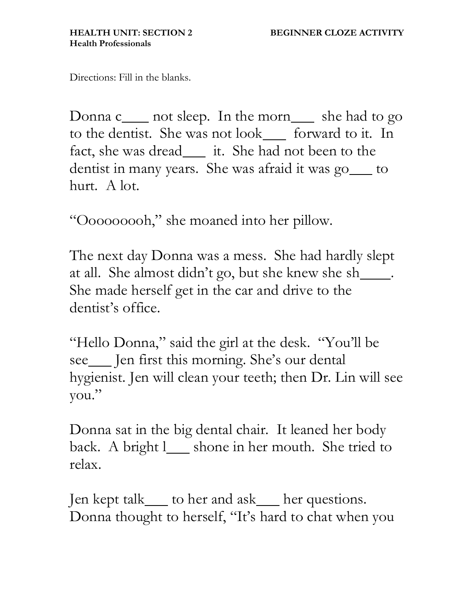Directions: Fill in the blanks.

Donna c\_\_\_\_ not sleep. In the morn\_\_\_ she had to go to the dentist. She was not look <u>forward to it</u>. In fact, she was dread\_\_\_\_ it. She had not been to the dentist in many years. She was afraid it was go\_\_\_ to hurt. A lot.

"Ooooooooh," she moaned into her pillow.

The next day Donna was a mess. She had hardly slept at all. She almost didn't go, but she knew she sh\_\_\_\_\_. She made herself get in the car and drive to the dentist's office.

"Hello Donna," said the girl at the desk. "You'll be see\_\_\_ Jen first this morning. She's our dental hygienist. Jen will clean your teeth; then Dr. Lin will see you."

Donna sat in the big dental chair. It leaned her body back. A bright l\_\_ shone in her mouth. She tried to relax.

Jen kept talk \_\_\_ to her and ask \_\_\_ her questions. Donna thought to herself, "It's hard to chat when you